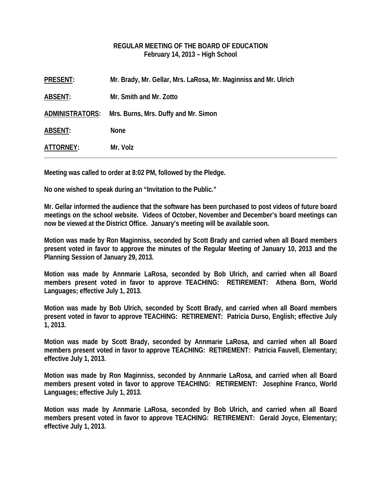## **REGULAR MEETING OF THE BOARD OF EDUCATION February 14, 2013 – High School**

| <b>PRESENT:</b>        | Mr. Brady, Mr. Gellar, Mrs. LaRosa, Mr. Maginniss and Mr. Ulrich |
|------------------------|------------------------------------------------------------------|
| <b>ABSENT:</b>         | Mr. Smith and Mr. Zotto                                          |
| <b>ADMINISTRATORS:</b> | Mrs. Burns, Mrs. Duffy and Mr. Simon                             |
| <b>ABSENT:</b>         | <b>None</b>                                                      |
| ATTORNEY:              | Mr. Volz                                                         |
|                        |                                                                  |

**Meeting was called to order at 8:02 PM, followed by the Pledge.** 

**No one wished to speak during an "Invitation to the Public."** 

**Mr. Gellar informed the audience that the software has been purchased to post videos of future board meetings on the school website. Videos of October, November and December's board meetings can now be viewed at the District Office. January's meeting will be available soon.** 

**Motion was made by Ron Maginniss, seconded by Scott Brady and carried when all Board members present voted in favor to approve the minutes of the Regular Meeting of January 10, 2013 and the Planning Session of January 29, 2013.** 

**Motion was made by Annmarie LaRosa, seconded by Bob Ulrich, and carried when all Board members present voted in favor to approve TEACHING: RETIREMENT: Athena Born, World Languages; effective July 1, 2013.** 

**Motion was made by Bob Ulrich, seconded by Scott Brady, and carried when all Board members present voted in favor to approve TEACHING: RETIREMENT: Patricia Durso, English; effective July 1, 2013.** 

**Motion was made by Scott Brady, seconded by Annmarie LaRosa, and carried when all Board members present voted in favor to approve TEACHING: RETIREMENT: Patricia Fauvell, Elementary; effective July 1, 2013.** 

**Motion was made by Ron Maginniss, seconded by Annmarie LaRosa, and carried when all Board members present voted in favor to approve TEACHING: RETIREMENT: Josephine Franco, World Languages; effective July 1, 2013.** 

**Motion was made by Annmarie LaRosa, seconded by Bob Ulrich, and carried when all Board members present voted in favor to approve TEACHING: RETIREMENT: Gerald Joyce, Elementary; effective July 1, 2013.**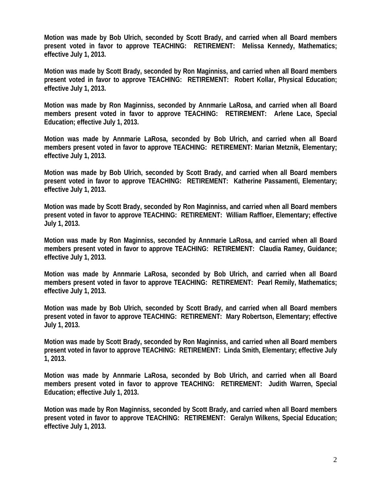**Motion was made by Bob Ulrich, seconded by Scott Brady, and carried when all Board members present voted in favor to approve TEACHING: RETIREMENT: Melissa Kennedy, Mathematics; effective July 1, 2013.** 

**Motion was made by Scott Brady, seconded by Ron Maginniss, and carried when all Board members present voted in favor to approve TEACHING: RETIREMENT: Robert Kollar, Physical Education; effective July 1, 2013.** 

**Motion was made by Ron Maginniss, seconded by Annmarie LaRosa, and carried when all Board members present voted in favor to approve TEACHING: RETIREMENT: Arlene Lace, Special Education; effective July 1, 2013.** 

**Motion was made by Annmarie LaRosa, seconded by Bob Ulrich, and carried when all Board members present voted in favor to approve TEACHING: RETIREMENT: Marian Metznik, Elementary; effective July 1, 2013.** 

**Motion was made by Bob Ulrich, seconded by Scott Brady, and carried when all Board members present voted in favor to approve TEACHING: RETIREMENT: Katherine Passamenti, Elementary; effective July 1, 2013.** 

**Motion was made by Scott Brady, seconded by Ron Maginniss, and carried when all Board members present voted in favor to approve TEACHING: RETIREMENT: William Raffloer, Elementary; effective July 1, 2013.** 

**Motion was made by Ron Maginniss, seconded by Annmarie LaRosa, and carried when all Board members present voted in favor to approve TEACHING: RETIREMENT: Claudia Ramey, Guidance; effective July 1, 2013.** 

**Motion was made by Annmarie LaRosa, seconded by Bob Ulrich, and carried when all Board members present voted in favor to approve TEACHING: RETIREMENT: Pearl Remily, Mathematics; effective July 1, 2013.** 

**Motion was made by Bob Ulrich, seconded by Scott Brady, and carried when all Board members present voted in favor to approve TEACHING: RETIREMENT: Mary Robertson, Elementary; effective July 1, 2013.** 

**Motion was made by Scott Brady, seconded by Ron Maginniss, and carried when all Board members present voted in favor to approve TEACHING: RETIREMENT: Linda Smith, Elementary; effective July 1, 2013.** 

**Motion was made by Annmarie LaRosa, seconded by Bob Ulrich, and carried when all Board members present voted in favor to approve TEACHING: RETIREMENT: Judith Warren, Special Education; effective July 1, 2013.** 

**Motion was made by Ron Maginniss, seconded by Scott Brady, and carried when all Board members present voted in favor to approve TEACHING: RETIREMENT: Geralyn Wilkens, Special Education; effective July 1, 2013.**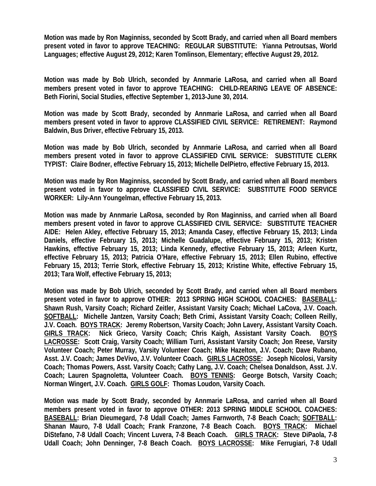**Motion was made by Ron Maginniss, seconded by Scott Brady, and carried when all Board members present voted in favor to approve TEACHING: REGULAR SUBSTITUTE: Yianna Petroutsas, World Languages; effective August 29, 2012; Karen Tomlinson, Elementary; effective August 29, 2012.** 

**Motion was made by Bob Ulrich, seconded by Annmarie LaRosa, and carried when all Board members present voted in favor to approve TEACHING: CHILD-REARING LEAVE OF ABSENCE: Beth Fiorini, Social Studies, effective September 1, 2013-June 30, 2014.** 

**Motion was made by Scott Brady, seconded by Annmarie LaRosa, and carried when all Board members present voted in favor to approve CLASSIFIED CIVIL SERVICE: RETIREMENT: Raymond Baldwin, Bus Driver, effective February 15, 2013.** 

**Motion was made by Bob Ulrich, seconded by Annmarie LaRosa, and carried when all Board members present voted in favor to approve CLASSIFIED CIVIL SERVICE: SUBSTITUTE CLERK TYPIST: Claire Bodner, effective February 15, 2013; Michelle DelPietro, effective February 15, 2013.** 

**Motion was made by Ron Maginniss, seconded by Scott Brady, and carried when all Board members present voted in favor to approve CLASSIFIED CIVIL SERVICE: SUBSTITUTE FOOD SERVICE WORKER: Lily-Ann Youngelman, effective February 15, 2013.** 

**Motion was made by Annmarie LaRosa, seconded by Ron Maginniss, and carried when all Board members present voted in favor to approve CLASSIFIED CIVIL SERVICE: SUBSTITUTE TEACHER AIDE: Helen Akley, effective February 15, 2013; Amanda Casey, effective February 15, 2013; Linda Daniels, effective February 15, 2013; Michelle Guadalupe, effective February 15, 2013; Kristen Hawkins, effective February 15, 2013; Linda Kennedy, effective February 15, 2013; Arleen Kurtz, effective February 15, 2013; Patricia O'Hare, effective February 15, 2013; Ellen Rubino, effective February 15, 2013; Terrie Stork, effective February 15, 2013; Kristine White, effective February 15, 2013; Tara Wolf, effective February 15, 2013;** 

**Motion was made by Bob Ulrich, seconded by Scott Brady, and carried when all Board members present voted in favor to approve OTHER: 2013 SPRING HIGH SCHOOL COACHES: BASEBALL: Shawn Rush, Varsity Coach; Richard Zeitler, Assistant Varsity Coach; Michael LaCova, J.V. Coach. SOFTBALL: Michelle Jantzen, Varsity Coach; Beth Crimi, Assistant Varsity Coach; Colleen Reilly, J.V. Coach. BOYS TRACK: Jeremy Robertson, Varsity Coach; John Lavery, Assistant Varsity Coach. GIRLS TRACK: Nick Grieco, Varsity Coach; Chris Kaigh, Assistant Varsity Coach. BOYS LACROSSE: Scott Craig, Varsity Coach; William Turri, Assistant Varsity Coach; Jon Reese, Varsity Volunteer Coach; Peter Murray, Varsity Volunteer Coach; Mike Hazelton, J.V. Coach; Dave Rubano, Asst. J.V. Coach; James DeVivo, J.V. Volunteer Coach. GIRLS LACROSSE: Joseph Nicolosi, Varsity Coach; Thomas Powers, Asst. Varsity Coach; Cathy Lang, J.V. Coach; Chelsea Donaldson, Asst. J.V. Coach; Lauren Spagnoletta, Volunteer Coach. BOYS TENNIS: George Botsch, Varsity Coach; Norman Wingert, J.V. Coach. GIRLS GOLF: Thomas Loudon, Varsity Coach.** 

**Motion was made by Scott Brady, seconded by Annmarie LaRosa, and carried when all Board members present voted in favor to approve OTHER: 2013 SPRING MIDDLE SCHOOL COACHES: BASEBALL: Brian Dieumegard, 7-8 Udall Coach; James Farnworth, 7-8 Beach Coach; SOFTBALL: Shanan Mauro, 7-8 Udall Coach; Frank Franzone, 7-8 Beach Coach. BOYS TRACK: Michael DiStefano, 7-8 Udall Coach; Vincent Luvera, 7-8 Beach Coach. GIRLS TRACK: Steve DiPaola, 7-8 Udall Coach; John Denninger, 7-8 Beach Coach. BOYS LACROSSE: Mike Ferrugiari, 7-8 Udall**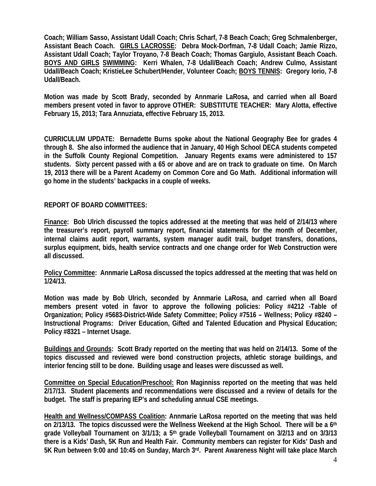**Coach; William Sasso, Assistant Udall Coach; Chris Scharf, 7-8 Beach Coach; Greg Schmalenberger, Assistant Beach Coach. GIRLS LACROSSE: Debra Mock-Dorfman, 7-8 Udall Coach; Jamie Rizzo, Assistant Udall Coach; Taylor Troyano, 7-8 Beach Coach; Thomas Gargiulo, Assistant Beach Coach. BOYS AND GIRLS SWIMMING: Kerri Whalen, 7-8 Udall/Beach Coach; Andrew Culmo, Assistant Udall/Beach Coach; KristieLee Schubert/Hender, Volunteer Coach; BOYS TENNIS: Gregory Iorio, 7-8 Udall/Beach.** 

**Motion was made by Scott Brady, seconded by Annmarie LaRosa, and carried when all Board members present voted in favor to approve OTHER: SUBSTITUTE TEACHER: Mary Alotta, effective February 15, 2013; Tara Annuziata, effective February 15, 2013.** 

**CURRICULUM UPDATE: Bernadette Burns spoke about the National Geography Bee for grades 4 through 8. She also informed the audience that in January, 40 High School DECA students competed in the Suffolk County Regional Competition. January Regents exams were administered to 157 students. Sixty percent passed with a 65 or above and are on track to graduate on time. On March 19, 2013 there will be a Parent Academy on Common Core and Go Math. Additional information will go home in the students' backpacks in a couple of weeks.** 

**REPORT OF BOARD COMMITTEES:** 

**Finance: Bob Ulrich discussed the topics addressed at the meeting that was held of 2/14/13 where the treasurer's report, payroll summary report, financial statements for the month of December, internal claims audit report, warrants, system manager audit trail, budget transfers, donations, surplus equipment, bids, health service contracts and one change order for Web Construction were all discussed.** 

**Policy Committee: Annmarie LaRosa discussed the topics addressed at the meeting that was held on 1/24/13.** 

**Motion was made by Bob Ulrich, seconded by Annmarie LaRosa, and carried when all Board members present voted in favor to approve the following policies: Policy #4212 -Table of Organization; Policy #5683-District-Wide Safety Committee; Policy #7516 – Wellness; Policy #8240 – Instructional Programs: Driver Education, Gifted and Talented Education and Physical Education; Policy #8321 – Internet Usage.** 

**Buildings and Grounds: Scott Brady reported on the meeting that was held on 2/14/13. Some of the topics discussed and reviewed were bond construction projects, athletic storage buildings, and interior fencing still to be done. Building usage and leases were discussed as well.** 

**Committee on Special Education/Preschool: Ron Maginniss reported on the meeting that was held 2/17/13. Student placements and recommendations were discussed and a review of details for the budget. The staff is preparing IEP's and scheduling annual CSE meetings.** 

**Health and Wellness/COMPASS Coalition: Annmarie LaRosa reported on the meeting that was held on 2/13/13. The topics discussed were the Wellness Weekend at the High School. There will be a 6th grade Volleyball Tournament on 3/1/13; a 5th grade Volleyball Tournament on 3/2/13 and on 3/3/13 there is a Kids' Dash, 5K Run and Health Fair. Community members can register for Kids' Dash and 5K Run between 9:00 and 10:45 on Sunday, March 3rd. Parent Awareness Night will take place March**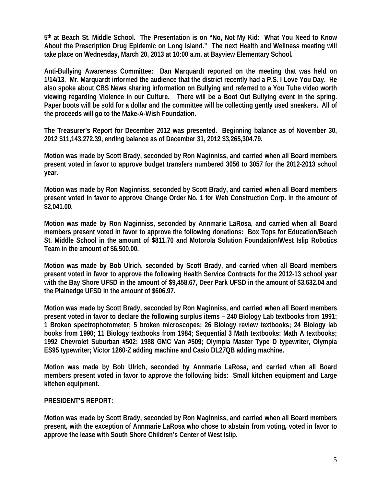**5th at Beach St. Middle School. The Presentation is on "No, Not My Kid: What You Need to Know About the Prescription Drug Epidemic on Long Island." The next Health and Wellness meeting will take place on Wednesday, March 20, 2013 at 10:00 a.m. at Bayview Elementary School.** 

**Anti-Bullying Awareness Committee: Dan Marquardt reported on the meeting that was held on 1/14/13. Mr. Marquardt informed the audience that the district recently had a P.S. I Love You Day. He also spoke about CBS News sharing information on Bullying and referred to a You Tube video worth viewing regarding Violence in our Culture. There will be a Boot Out Bullying event in the spring. Paper boots will be sold for a dollar and the committee will be collecting gently used sneakers. All of the proceeds will go to the Make-A-Wish Foundation.** 

**The Treasurer's Report for December 2012 was presented. Beginning balance as of November 30, 2012 \$11,143,272.39, ending balance as of December 31, 2012 \$3,265,304.79.** 

**Motion was made by Scott Brady, seconded by Ron Maginniss, and carried when all Board members present voted in favor to approve budget transfers numbered 3056 to 3057 for the 2012-2013 school year.** 

**Motion was made by Ron Maginniss, seconded by Scott Brady, and carried when all Board members present voted in favor to approve Change Order No. 1 for Web Construction Corp. in the amount of \$2,041.00.** 

**Motion was made by Ron Maginniss, seconded by Annmarie LaRosa, and carried when all Board members present voted in favor to approve the following donations: Box Tops for Education/Beach St. Middle School in the amount of \$811.70 and Motorola Solution Foundation/West Islip Robotics Team in the amount of \$6,500.00.** 

**Motion was made by Bob Ulrich, seconded by Scott Brady, and carried when all Board members present voted in favor to approve the following Health Service Contracts for the 2012-13 school year with the Bay Shore UFSD in the amount of \$9,458.67, Deer Park UFSD in the amount of \$3,632.04 and the Plainedge UFSD in the amount of \$606.97.** 

**Motion was made by Scott Brady, seconded by Ron Maginniss, and carried when all Board members present voted in favor to declare the following surplus items – 240 Biology Lab textbooks from 1991; 1 Broken spectrophotometer; 5 broken microscopes; 26 Biology review textbooks; 24 Biology lab books from 1990; 11 Biology textbooks from 1984; Sequential 3 Math textbooks; Math A textbooks; 1992 Chevrolet Suburban #502; 1988 GMC Van #509; Olympia Master Type D typewriter, Olympia ES95 typewriter; Victor 1260-Z adding machine and Casio DL27QB adding machine.** 

**Motion was made by Bob Ulrich, seconded by Annmarie LaRosa, and carried when all Board members present voted in favor to approve the following bids: Small kitchen equipment and Large kitchen equipment.** 

## **PRESIDENT'S REPORT:**

**Motion was made by Scott Brady, seconded by Ron Maginniss, and carried when all Board members present, with the exception of Annmarie LaRosa who chose to abstain from voting***,* **voted in favor to approve the lease with South Shore Children's Center of West Islip.**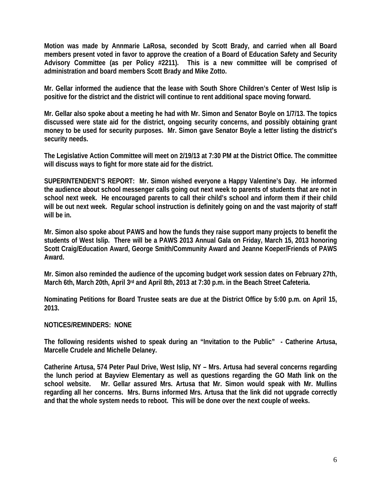**Motion was made by Annmarie LaRosa, seconded by Scott Brady, and carried when all Board members present voted in favor to approve the creation of a Board of Education Safety and Security Advisory Committee (as per Policy #2211). This is a new committee will be comprised of administration and board members Scott Brady and Mike Zotto.** 

**Mr. Gellar informed the audience that the lease with South Shore Children's Center of West Islip is positive for the district and the district will continue to rent additional space moving forward.** 

**Mr. Gellar also spoke about a meeting he had with Mr. Simon and Senator Boyle on 1/7/13. The topics discussed were state aid for the district, ongoing security concerns, and possibly obtaining grant money to be used for security purposes. Mr. Simon gave Senator Boyle a letter listing the district's security needs.** 

**The Legislative Action Committee will meet on 2/19/13 at 7:30 PM at the District Office. The committee will discuss ways to fight for more state aid for the district.** 

**SUPERINTENDENT'S REPORT: Mr. Simon wished everyone a Happy Valentine's Day. He informed the audience about school messenger calls going out next week to parents of students that are not in school next week. He encouraged parents to call their child's school and inform them if their child will be out next week. Regular school instruction is definitely going on and the vast majority of staff will be in.** 

**Mr. Simon also spoke about PAWS and how the funds they raise support many projects to benefit the students of West Islip. There will be a PAWS 2013 Annual Gala on Friday, March 15, 2013 honoring Scott Craig/Education Award, George Smith/Community Award and Jeanne Koeper/Friends of PAWS Award.** 

**Mr. Simon also reminded the audience of the upcoming budget work session dates on February 27th, March 6th, March 20th, April 3rd and April 8th, 2013 at 7:30 p.m. in the Beach Street Cafeteria.** 

**Nominating Petitions for Board Trustee seats are due at the District Office by 5:00 p.m. on April 15, 2013.** 

## **NOTICES/REMINDERS: NONE**

**The following residents wished to speak during an "Invitation to the Public" - Catherine Artusa, Marcelle Crudele and Michelle Delaney.** 

**Catherine Artusa, 574 Peter Paul Drive, West Islip, NY – Mrs. Artusa had several concerns regarding the lunch period at Bayview Elementary as well as questions regarding the GO Math link on the school website. Mr. Gellar assured Mrs. Artusa that Mr. Simon would speak with Mr. Mullins regarding all her concerns. Mrs. Burns informed Mrs. Artusa that the link did not upgrade correctly and that the whole system needs to reboot. This will be done over the next couple of weeks.**